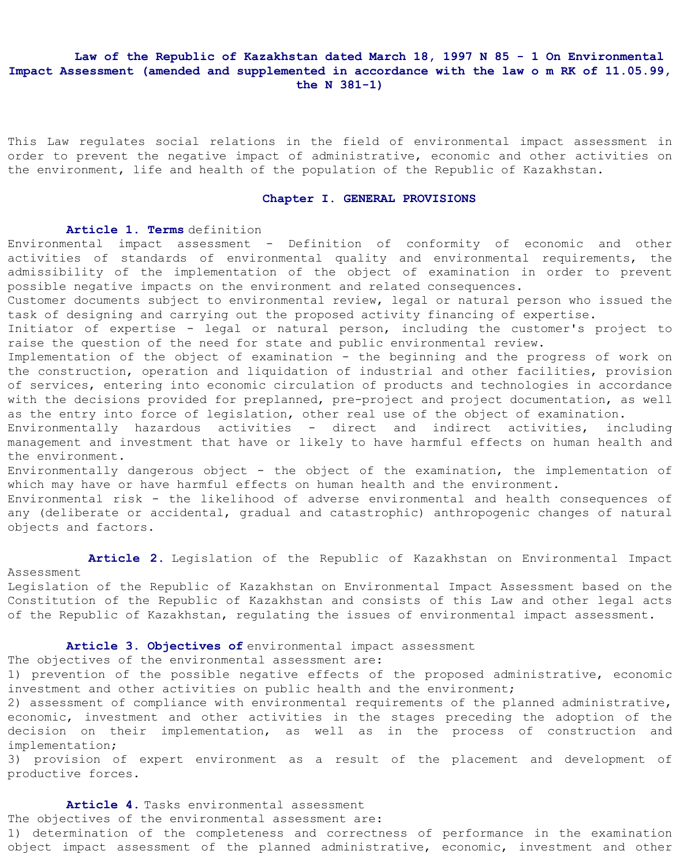# **Law of the Republic of Kazakhstan dated March 18, 1997 N 85 - 1 On Environmental Impact Assessment (amended and supplemented in accordance with the law o m RK of 11.05.99, the N 381-1)**

This Law regulates social relations in the field of environmental impact assessment in order to prevent the negative impact of administrative, economic and other activities on the environment, life and health of the population of the Republic of Kazakhstan.

#### **Chapter I. GENERAL PROVISIONS**

#### **Article 1. Terms** definition

Environmental impact assessment - Definition of conformity of economic and other activities of standards of environmental quality and environmental requirements, the admissibility of the implementation of the object of examination in order to prevent possible negative impacts on the environment and related consequences.

Customer documents subject to environmental review, legal or natural person who issued the task of designing and carrying out the proposed activity financing of expertise.

Initiator of expertise - legal or natural person, including the customer's project to raise the question of the need for state and public environmental review.

Implementation of the object of examination - the beginning and the progress of work on the construction, operation and liquidation of industrial and other facilities, provision of services, entering into economic circulation of products and technologies in accordance with the decisions provided for preplanned, pre-project and project documentation, as well as the entry into force of legislation, other real use of the object of examination.

Environmentally hazardous activities - direct and indirect activities, including management and investment that have or likely to have harmful effects on human health and the environment.

Environmentally dangerous object - the object of the examination, the implementation of which may have or have harmful effects on human health and the environment.

Environmental risk - the likelihood of adverse environmental and health consequences of any (deliberate or accidental, gradual and catastrophic) anthropogenic changes of natural objects and factors.

## **Article 2.** Legislation of the Republic of Kazakhstan on Environmental Impact Assessment

Legislation of the Republic of Kazakhstan on Environmental Impact Assessment based on the Constitution of the Republic of Kazakhstan and consists of this Law and other legal acts of the Republic of Kazakhstan, regulating the issues of environmental impact assessment.

**Article 3. Objectives of** environmental impact assessment

The objectives of the environmental assessment are:

1) prevention of the possible negative effects of the proposed administrative, economic investment and other activities on public health and the environment;

2) assessment of compliance with environmental requirements of the planned administrative, economic, investment and other activities in the stages preceding the adoption of the decision on their implementation, as well as in the process of construction and implementation;

3) provision of expert environment as a result of the placement and development of productive forces.

 **Article 4.** Tasks environmental assessment The objectives of the environmental assessment are:

1) determination of the completeness and correctness of performance in the examination object impact assessment of the planned administrative, economic, investment and other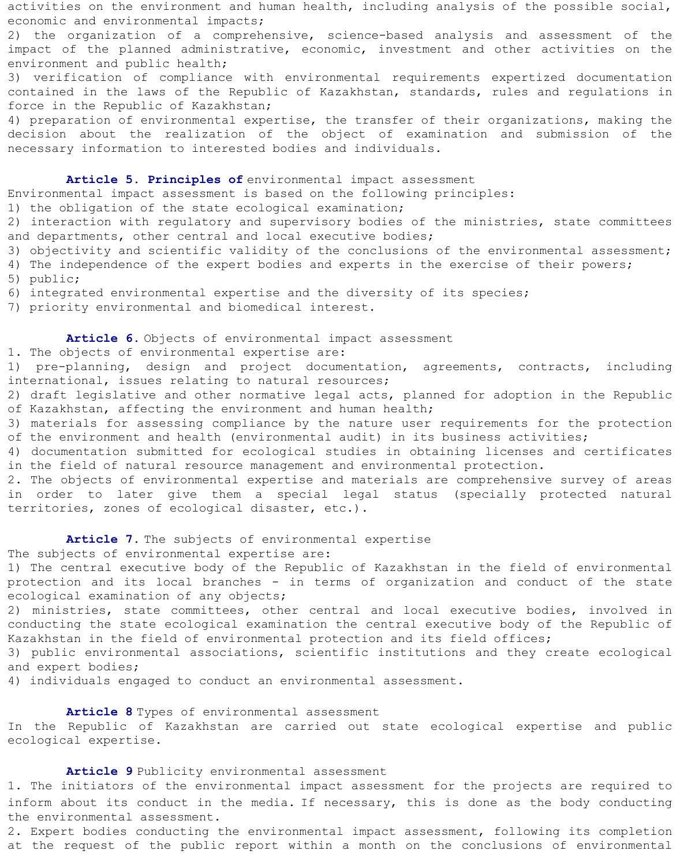activities on the environment and human health, including analysis of the possible social, economic and environmental impacts;

2) the organization of a comprehensive, science-based analysis and assessment of the impact of the planned administrative, economic, investment and other activities on the environment and public health;

3) verification of compliance with environmental requirements expertized documentation contained in the laws of the Republic of Kazakhstan, standards, rules and regulations in force in the Republic of Kazakhstan;

4) preparation of environmental expertise, the transfer of their organizations, making the decision about the realization of the object of examination and submission of the necessary information to interested bodies and individuals.

## **Article 5. Principles of** environmental impact assessment

Environmental impact assessment is based on the following principles:

1) the obligation of the state ecological examination;

2) interaction with regulatory and supervisory bodies of the ministries, state committees and departments, other central and local executive bodies;

- 3) objectivity and scientific validity of the conclusions of the environmental assessment;
- 4) The independence of the expert bodies and experts in the exercise of their powers;
- 5) public;
- 6) integrated environmental expertise and the diversity of its species;

7) priority environmental and biomedical interest.

## **Article 6.** Objects of environmental impact assessment

#### 1. The objects of environmental expertise are:

1) pre-planning, design and project documentation, agreements, contracts, including international, issues relating to natural resources;

2) draft legislative and other normative legal acts, planned for adoption in the Republic of Kazakhstan, affecting the environment and human health;

3) materials for assessing compliance by the nature user requirements for the protection of the environment and health (environmental audit) in its business activities;

4) documentation submitted for ecological studies in obtaining licenses and certificates in the field of natural resource management and environmental protection.

2. The objects of environmental expertise and materials are comprehensive survey of areas in order to later give them a special legal status (specially protected natural territories, zones of ecological disaster, etc.).

# Article 7. The subjects of environmental expertise

The subjects of environmental expertise are:

1) The central executive body of the Republic of Kazakhstan in the field of environmental protection and its local branches - in terms of organization and conduct of the state ecological examination of any objects;

2) ministries, state committees, other central and local executive bodies, involved in conducting the state ecological examination the central executive body of the Republic of Kazakhstan in the field of environmental protection and its field offices;

3) public environmental associations, scientific institutions and they create ecological and expert bodies;

4) individuals engaged to conduct an environmental assessment.

### **Article 8** Types of environmental assessment

In the Republic of Kazakhstan are carried out state ecological expertise and public ecological expertise.

#### **Article 9** Publicity environmental assessment

1. The initiators of the environmental impact assessment for the projects are required to inform about its conduct in the media. If necessary, this is done as the body conducting the environmental assessment.

2. Expert bodies conducting the environmental impact assessment, following its completion at the request of the public report within a month on the conclusions of environmental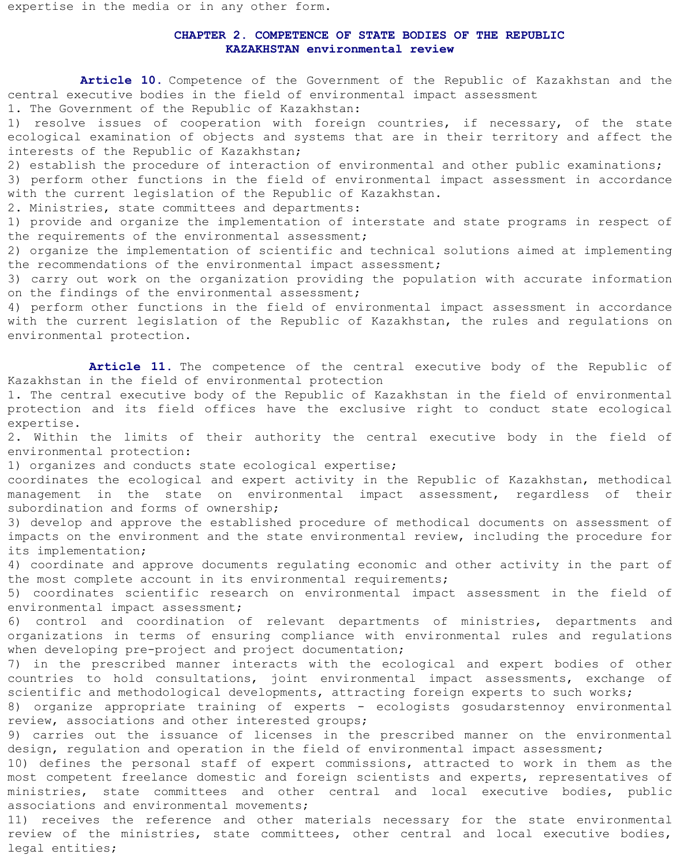expertise in the media or in any other form.

## **CHAPTER 2. COMPETENCE OF STATE BODIES OF THE REPUBLIC KAZAKHSTAN environmental review**

 **Article 10.** Competence of the Government of the Republic of Kazakhstan and the central executive bodies in the field of environmental impact assessment

1. The Government of the Republic of Kazakhstan:

1) resolve issues of cooperation with foreign countries, if necessary, of the state ecological examination of objects and systems that are in their territory and affect the interests of the Republic of Kazakhstan;

2) establish the procedure of interaction of environmental and other public examinations; 3) perform other functions in the field of environmental impact assessment in accordance with the current legislation of the Republic of Kazakhstan.

2. Ministries, state committees and departments:

1) provide and organize the implementation of interstate and state programs in respect of the requirements of the environmental assessment;

2) organize the implementation of scientific and technical solutions aimed at implementing the recommendations of the environmental impact assessment;

3) carry out work on the organization providing the population with accurate information on the findings of the environmental assessment;

4) perform other functions in the field of environmental impact assessment in accordance with the current legislation of the Republic of Kazakhstan, the rules and regulations on environmental protection.

Article 11. The competence of the central executive body of the Republic of Kazakhstan in the field of environmental protection

1. The central executive body of the Republic of Kazakhstan in the field of environmental protection and its field offices have the exclusive right to conduct state ecological expertise.

2. Within the limits of their authority the central executive body in the field of environmental protection:

1) organizes and conducts state ecological expertise;

coordinates the ecological and expert activity in the Republic of Kazakhstan, methodical management in the state on environmental impact assessment, regardless of their subordination and forms of ownership;

3) develop and approve the established procedure of methodical documents on assessment of impacts on the environment and the state environmental review, including the procedure for its implementation;

4) coordinate and approve documents regulating economic and other activity in the part of the most complete account in its environmental requirements;

5) coordinates scientific research on environmental impact assessment in the field of environmental impact assessment;

6) control and coordination of relevant departments of ministries, departments and organizations in terms of ensuring compliance with environmental rules and regulations when developing pre-project and project documentation;

7) in the prescribed manner interacts with the ecological and expert bodies of other countries to hold consultations, joint environmental impact assessments, exchange of scientific and methodological developments, attracting foreign experts to such works;

8) organize appropriate training of experts - ecologists gosudarstennoy environmental review, associations and other interested groups;

9) carries out the issuance of licenses in the prescribed manner on the environmental design, regulation and operation in the field of environmental impact assessment;

10) defines the personal staff of expert commissions, attracted to work in them as the most competent freelance domestic and foreign scientists and experts, representatives of ministries, state committees and other central and local executive bodies, public associations and environmental movements;

11) receives the reference and other materials necessary for the state environmental review of the ministries, state committees, other central and local executive bodies, legal entities;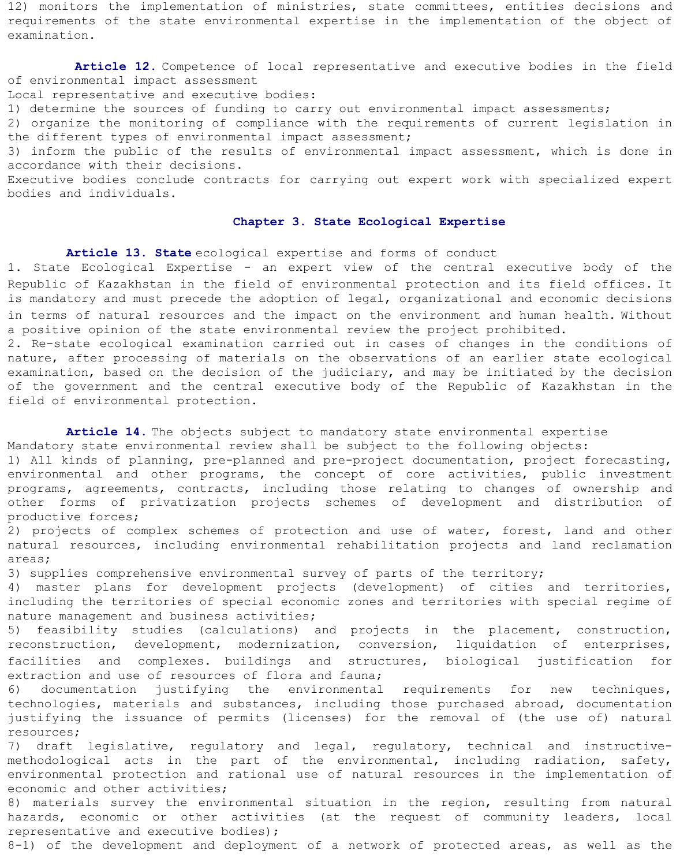12) monitors the implementation of ministries, state committees, entities decisions and requirements of the state environmental expertise in the implementation of the object of examination.

 **Article 12.** Competence of local representative and executive bodies in the field of environmental impact assessment

Local representative and executive bodies:

1) determine the sources of funding to carry out environmental impact assessments;

2) organize the monitoring of compliance with the requirements of current legislation in the different types of environmental impact assessment;

3) inform the public of the results of environmental impact assessment, which is done in accordance with their decisions.

Executive bodies conclude contracts for carrying out expert work with specialized expert bodies and individuals.

#### **Chapter 3. State Ecological Expertise**

**Article 13. State** ecological expertise and forms of conduct

1. State Ecological Expertise - an expert view of the central executive body of the Republic of Kazakhstan in the field of environmental protection and its field offices. It is mandatory and must precede the adoption of legal, organizational and economic decisions in terms of natural resources and the impact on the environment and human health. Without a positive opinion of the state environmental review the project prohibited.

2. Re-state ecological examination carried out in cases of changes in the conditions of nature, after processing of materials on the observations of an earlier state ecological examination, based on the decision of the judiciary, and may be initiated by the decision of the government and the central executive body of the Republic of Kazakhstan in the field of environmental protection.

**Article 14.** The objects subject to mandatory state environmental expertise

Mandatory state environmental review shall be subject to the following objects:

1) All kinds of planning, pre-planned and pre-project documentation, project forecasting, environmental and other programs, the concept of core activities, public investment programs, agreements, contracts, including those relating to changes of ownership and other forms of privatization projects schemes of development and distribution of productive forces;

2) projects of complex schemes of protection and use of water, forest, land and other natural resources, including environmental rehabilitation projects and land reclamation areas;

3) supplies comprehensive environmental survey of parts of the territory;

4) master plans for development projects (development) of cities and territories, including the territories of special economic zones and territories with special regime of nature management and business activities;

5) feasibility studies (calculations) and projects in the placement, construction, reconstruction, development, modernization, conversion, liquidation of enterprises, facilities and complexes. buildings and structures, biological justification for extraction and use of resources of flora and fauna;

6) documentation justifying the environmental requirements for new techniques, technologies, materials and substances, including those purchased abroad, documentation justifying the issuance of permits (licenses) for the removal of (the use of) natural resources;

7) draft legislative, regulatory and legal, regulatory, technical and instructivemethodological acts in the part of the environmental, including radiation, safety, environmental protection and rational use of natural resources in the implementation of economic and other activities;

8) materials survey the environmental situation in the region, resulting from natural hazards, economic or other activities (at the request of community leaders, local representative and executive bodies);

8-1) of the development and deployment of a network of protected areas, as well as the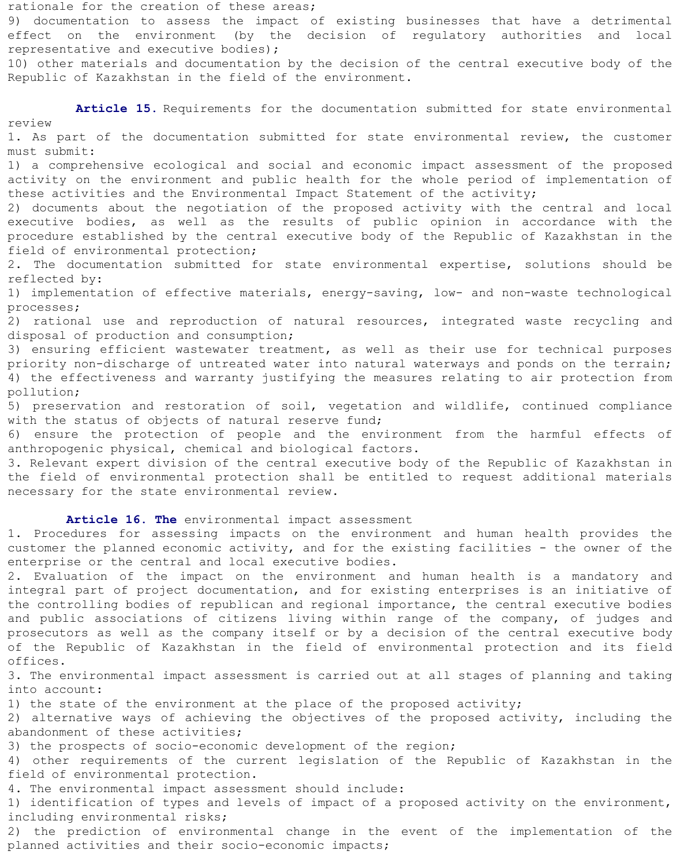rationale for the creation of these areas; 9) documentation to assess the impact of existing businesses that have a detrimental effect on the environment (by the decision of regulatory authorities and local representative and executive bodies); 10) other materials and documentation by the decision of the central executive body of the Republic of Kazakhstan in the field of the environment. **Article 15.** Requirements for the documentation submitted for state environmental review 1. As part of the documentation submitted for state environmental review, the customer must submit: 1) a comprehensive ecological and social and economic impact assessment of the proposed activity on the environment and public health for the whole period of implementation of these activities and the Environmental Impact Statement of the activity; 2) documents about the negotiation of the proposed activity with the central and local executive bodies, as well as the results of public opinion in accordance with the procedure established by the central executive body of the Republic of Kazakhstan in the field of environmental protection; 2. The documentation submitted for state environmental expertise, solutions should be reflected by: 1) implementation of effective materials, energy-saving, low- and non-waste technological processes; 2) rational use and reproduction of natural resources, integrated waste recycling and disposal of production and consumption; 3) ensuring efficient wastewater treatment, as well as their use for technical purposes priority non-discharge of untreated water into natural waterways and ponds on the terrain; 4) the effectiveness and warranty justifying the measures relating to air protection from pollution; 5) preservation and restoration of soil, vegetation and wildlife, continued compliance with the status of objects of natural reserve fund; 6) ensure the protection of people and the environment from the harmful effects of anthropogenic physical, chemical and biological factors. 3. Relevant expert division of the central executive body of the Republic of Kazakhstan in the field of environmental protection shall be entitled to request additional materials necessary for the state environmental review. **Article 16. The** environmental impact assessment 1. Procedures for assessing impacts on the environment and human health provides the customer the planned economic activity, and for the existing facilities - the owner of the enterprise or the central and local executive bodies. 2. Evaluation of the impact on the environment and human health is a mandatory and

integral part of project documentation, and for existing enterprises is an initiative of the controlling bodies of republican and regional importance, the central executive bodies and public associations of citizens living within range of the company, of judges and prosecutors as well as the company itself or by a decision of the central executive body of the Republic of Kazakhstan in the field of environmental protection and its field offices.

3. The environmental impact assessment is carried out at all stages of planning and taking into account:

1) the state of the environment at the place of the proposed activity;

2) alternative ways of achieving the objectives of the proposed activity, including the abandonment of these activities;

3) the prospects of socio-economic development of the region;

4) other requirements of the current legislation of the Republic of Kazakhstan in the field of environmental protection.

4. The environmental impact assessment should include:

1) identification of types and levels of impact of a proposed activity on the environment, including environmental risks;

2) the prediction of environmental change in the event of the implementation of the planned activities and their socio-economic impacts;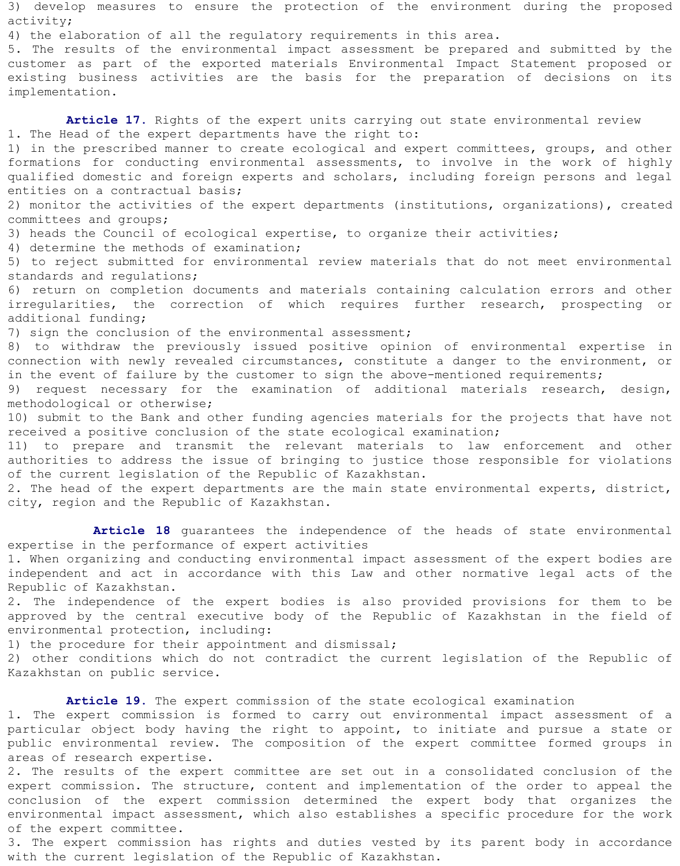3) develop measures to ensure the protection of the environment during the proposed activity;

4) the elaboration of all the regulatory requirements in this area.

5. The results of the environmental impact assessment be prepared and submitted by the customer as part of the exported materials Environmental Impact Statement proposed or existing business activities are the basis for the preparation of decisions on its implementation.

Article 17. Rights of the expert units carrying out state environmental review 1. The Head of the expert departments have the right to:

1) in the prescribed manner to create ecological and expert committees, groups, and other formations for conducting environmental assessments, to involve in the work of highly qualified domestic and foreign experts and scholars, including foreign persons and legal entities on a contractual basis;

2) monitor the activities of the expert departments (institutions, organizations), created committees and groups;

3) heads the Council of ecological expertise, to organize their activities;

4) determine the methods of examination;

5) to reject submitted for environmental review materials that do not meet environmental standards and regulations;

6) return on completion documents and materials containing calculation errors and other irregularities, the correction of which requires further research, prospecting or additional funding;

7) sign the conclusion of the environmental assessment;

8) to withdraw the previously issued positive opinion of environmental expertise in connection with newly revealed circumstances, constitute a danger to the environment, or in the event of failure by the customer to sign the above-mentioned requirements;

9) request necessary for the examination of additional materials research, design, methodological or otherwise;

10) submit to the Bank and other funding agencies materials for the projects that have not received a positive conclusion of the state ecological examination;

11) to prepare and transmit the relevant materials to law enforcement and other authorities to address the issue of bringing to justice those responsible for violations of the current legislation of the Republic of Kazakhstan.

2. The head of the expert departments are the main state environmental experts, district, city, region and the Republic of Kazakhstan.

 **Article 18** guarantees the independence of the heads of state environmental expertise in the performance of expert activities

1. When organizing and conducting environmental impact assessment of the expert bodies are independent and act in accordance with this Law and other normative legal acts of the Republic of Kazakhstan.

2. The independence of the expert bodies is also provided provisions for them to be approved by the central executive body of the Republic of Kazakhstan in the field of environmental protection, including:

1) the procedure for their appointment and dismissal;

2) other conditions which do not contradict the current legislation of the Republic of Kazakhstan on public service.

**Article 19.** The expert commission of the state ecological examination

1. The expert commission is formed to carry out environmental impact assessment of a particular object body having the right to appoint, to initiate and pursue a state or public environmental review. The composition of the expert committee formed groups in areas of research expertise.

2. The results of the expert committee are set out in a consolidated conclusion of the expert commission. The structure, content and implementation of the order to appeal the conclusion of the expert commission determined the expert body that organizes the environmental impact assessment, which also establishes a specific procedure for the work of the expert committee.

3. The expert commission has rights and duties vested by its parent body in accordance with the current legislation of the Republic of Kazakhstan.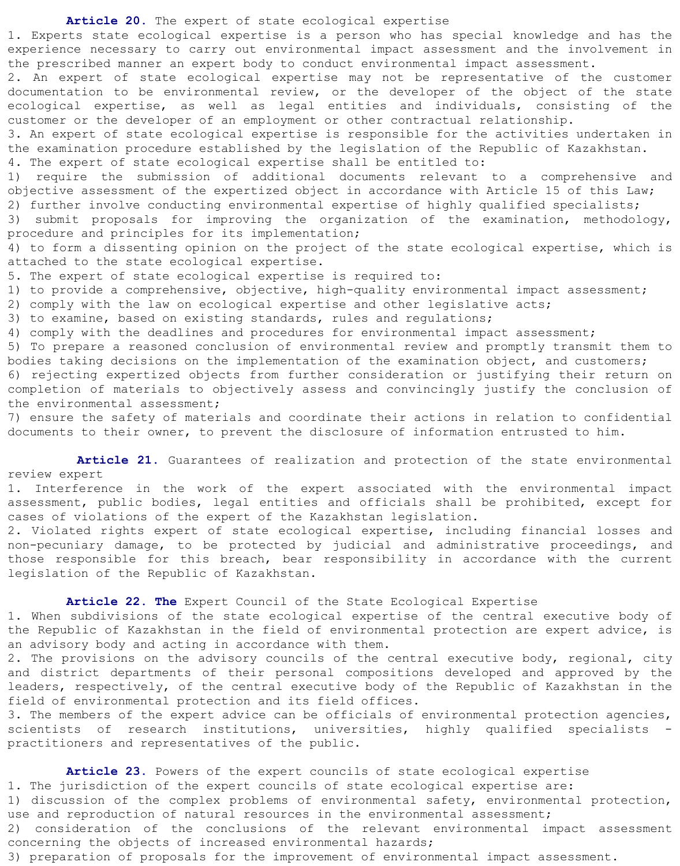**Article 20.** The expert of state ecological expertise

1. Experts state ecological expertise is a person who has special knowledge and has the experience necessary to carry out environmental impact assessment and the involvement in the prescribed manner an expert body to conduct environmental impact assessment.

2. An expert of state ecological expertise may not be representative of the customer documentation to be environmental review, or the developer of the object of the state ecological expertise, as well as legal entities and individuals, consisting of the customer or the developer of an employment or other contractual relationship.

3. An expert of state ecological expertise is responsible for the activities undertaken in the examination procedure established by the legislation of the Republic of Kazakhstan. 4. The expert of state ecological expertise shall be entitled to:

1) require the submission of additional documents relevant to a comprehensive and objective assessment of the expertized object in accordance with Article 15 of this Law;

2) further involve conducting environmental expertise of highly qualified specialists; 3) submit proposals for improving the organization of the examination, methodology,

procedure and principles for its implementation;

4) to form a dissenting opinion on the project of the state ecological expertise, which is attached to the state ecological expertise.

5. The expert of state ecological expertise is required to:

1) to provide a comprehensive, objective, high-quality environmental impact assessment;

2) comply with the law on ecological expertise and other legislative acts;

3) to examine, based on existing standards, rules and regulations;

4) comply with the deadlines and procedures for environmental impact assessment;

5) To prepare a reasoned conclusion of environmental review and promptly transmit them to bodies taking decisions on the implementation of the examination object, and customers;

6) rejecting expertized objects from further consideration or justifying their return on completion of materials to objectively assess and convincingly justify the conclusion of the environmental assessment;

7) ensure the safety of materials and coordinate their actions in relation to confidential documents to their owner, to prevent the disclosure of information entrusted to him.

Article 21. Guarantees of realization and protection of the state environmental review expert

1. Interference in the work of the expert associated with the environmental impact assessment, public bodies, legal entities and officials shall be prohibited, except for cases of violations of the expert of the Kazakhstan legislation.

2. Violated rights expert of state ecological expertise, including financial losses and non-pecuniary damage, to be protected by judicial and administrative proceedings, and those responsible for this breach, bear responsibility in accordance with the current legislation of the Republic of Kazakhstan.

 **Article 22. The** Expert Council of the State Ecological Expertise 1. When subdivisions of the state ecological expertise of the central executive body of the Republic of Kazakhstan in the field of environmental protection are expert advice, is an advisory body and acting in accordance with them.

2. The provisions on the advisory councils of the central executive body, regional, city and district departments of their personal compositions developed and approved by the leaders, respectively, of the central executive body of the Republic of Kazakhstan in the field of environmental protection and its field offices.

3. The members of the expert advice can be officials of environmental protection agencies, scientists of research institutions, universities, highly qualified specialists practitioners and representatives of the public.

 **Article 23.** Powers of the expert councils of state ecological expertise 1. The jurisdiction of the expert councils of state ecological expertise are: 1) discussion of the complex problems of environmental safety, environmental protection, use and reproduction of natural resources in the environmental assessment; 2) consideration of the conclusions of the relevant environmental impact assessment concerning the objects of increased environmental hazards; 3) preparation of proposals for the improvement of environmental impact assessment.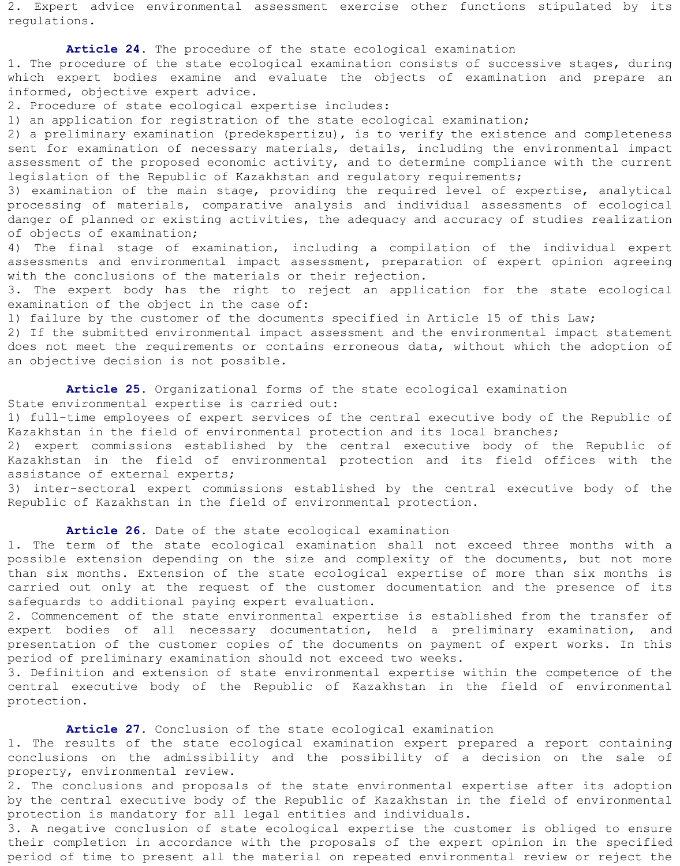2. Expert advice environmental assessment exercise other functions stipulated by its regulations.

 **Article 24.** The procedure of the state ecological examination 1. The procedure of the state ecological examination consists of successive stages, during which expert bodies examine and evaluate the objects of examination and prepare an informed, objective expert advice.

2. Procedure of state ecological expertise includes:

1) an application for registration of the state ecological examination;

2) a preliminary examination (predekspertizu), is to verify the existence and completeness sent for examination of necessary materials, details, including the environmental impact assessment of the proposed economic activity, and to determine compliance with the current legislation of the Republic of Kazakhstan and regulatory requirements;

3) examination of the main stage, providing the required level of expertise, analytical processing of materials, comparative analysis and individual assessments of ecological danger of planned or existing activities, the adequacy and accuracy of studies realization of objects of examination;

4) The final stage of examination, including a compilation of the individual expert assessments and environmental impact assessment, preparation of expert opinion agreeing with the conclusions of the materials or their rejection.

3. The expert body has the right to reject an application for the state ecological examination of the object in the case of:

1) failure by the customer of the documents specified in Article 15 of this Law;

2) If the submitted environmental impact assessment and the environmental impact statement does not meet the requirements or contains erroneous data, without which the adoption of an objective decision is not possible.

 **Article 25.** Organizational forms of the state ecological examination State environmental expertise is carried out:

1) full-time employees of expert services of the central executive body of the Republic of Kazakhstan in the field of environmental protection and its local branches;

2) expert commissions established by the central executive body of the Republic of Kazakhstan in the field of environmental protection and its field offices with the assistance of external experts;

3) inter-sectoral expert commissions established by the central executive body of the Republic of Kazakhstan in the field of environmental protection.

**Article 26.** Date of the state ecological examination

1. The term of the state ecological examination shall not exceed three months with a possible extension depending on the size and complexity of the documents, but not more than six months. Extension of the state ecological expertise of more than six months is carried out only at the request of the customer documentation and the presence of its safeguards to additional paying expert evaluation.

2. Commencement of the state environmental expertise is established from the transfer of expert bodies of all necessary documentation, held a preliminary examination, and presentation of the customer copies of the documents on payment of expert works. In this period of preliminary examination should not exceed two weeks.

3. Definition and extension of state environmental expertise within the competence of the central executive body of the Republic of Kazakhstan in the field of environmental protection.

**Article 27.** Conclusion of the state ecological examination

1. The results of the state ecological examination expert prepared a report containing conclusions on the admissibility and the possibility of a decision on the sale of property, environmental review.

2. The conclusions and proposals of the state environmental expertise after its adoption by the central executive body of the Republic of Kazakhstan in the field of environmental protection is mandatory for all legal entities and individuals.

3. A negative conclusion of state ecological expertise the customer is obliged to ensure their completion in accordance with the proposals of the expert opinion in the specified period of time to present all the material on repeated environmental review or reject the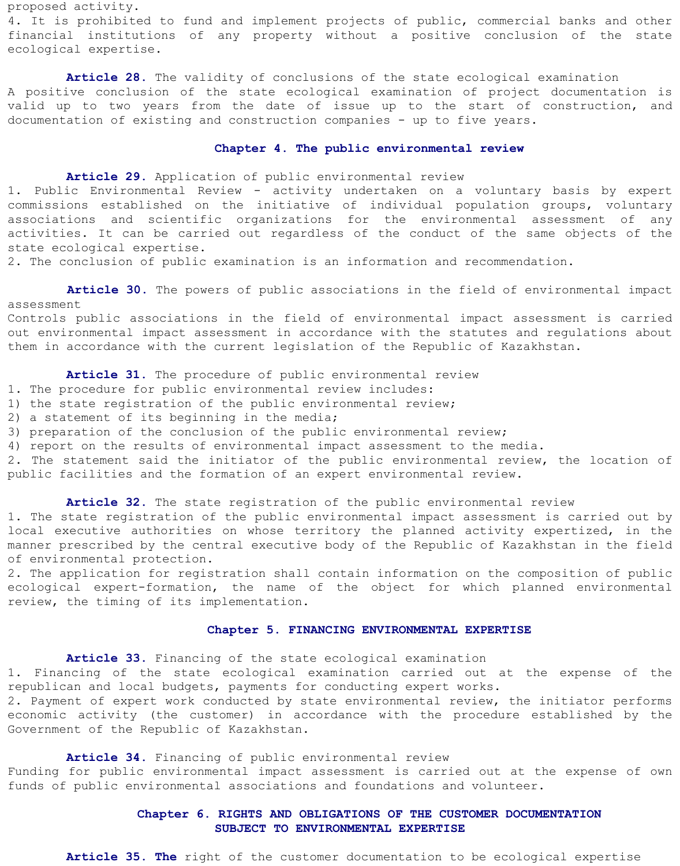proposed activity. 4. It is prohibited to fund and implement projects of public, commercial banks and other financial institutions of any property without a positive conclusion of the state ecological expertise.

 **Article 28.** The validity of conclusions of the state ecological examination A positive conclusion of the state ecological examination of project documentation is valid up to two years from the date of issue up to the start of construction, and documentation of existing and construction companies - up to five years.

### **Chapter 4. The public environmental review**

**Article 29.** Application of public environmental review

1. Public Environmental Review - activity undertaken on a voluntary basis by expert commissions established on the initiative of individual population groups, voluntary associations and scientific organizations for the environmental assessment of any activities. It can be carried out regardless of the conduct of the same objects of the state ecological expertise.

2. The conclusion of public examination is an information and recommendation.

 **Article 30.** The powers of public associations in the field of environmental impact assessment

Controls public associations in the field of environmental impact assessment is carried out environmental impact assessment in accordance with the statutes and regulations about them in accordance with the current legislation of the Republic of Kazakhstan.

Article 31. The procedure of public environmental review

- 1. The procedure for public environmental review includes:
- 1) the state registration of the public environmental review;
- 2) a statement of its beginning in the media;
- 3) preparation of the conclusion of the public environmental review;
- 4) report on the results of environmental impact assessment to the media.

2. The statement said the initiator of the public environmental review, the location of public facilities and the formation of an expert environmental review.

**Article 32.** The state registration of the public environmental review

1. The state registration of the public environmental impact assessment is carried out by local executive authorities on whose territory the planned activity expertized, in the manner prescribed by the central executive body of the Republic of Kazakhstan in the field of environmental protection.

2. The application for registration shall contain information on the composition of public ecological expert-formation, the name of the object for which planned environmental review, the timing of its implementation.

#### **Chapter 5. FINANCING ENVIRONMENTAL EXPERTISE**

**Article 33.** Financing of the state ecological examination

1. Financing of the state ecological examination carried out at the expense of the republican and local budgets, payments for conducting expert works.

2. Payment of expert work conducted by state environmental review, the initiator performs economic activity (the customer) in accordance with the procedure established by the Government of the Republic of Kazakhstan.

# **Article 34.** Financing of public environmental review

Funding for public environmental impact assessment is carried out at the expense of own funds of public environmental associations and foundations and volunteer.

# **Chapter 6. RIGHTS AND OBLIGATIONS OF THE CUSTOMER DOCUMENTATION SUBJECT TO ENVIRONMENTAL EXPERTISE**

**Article 35. The** right of the customer documentation to be ecological expertise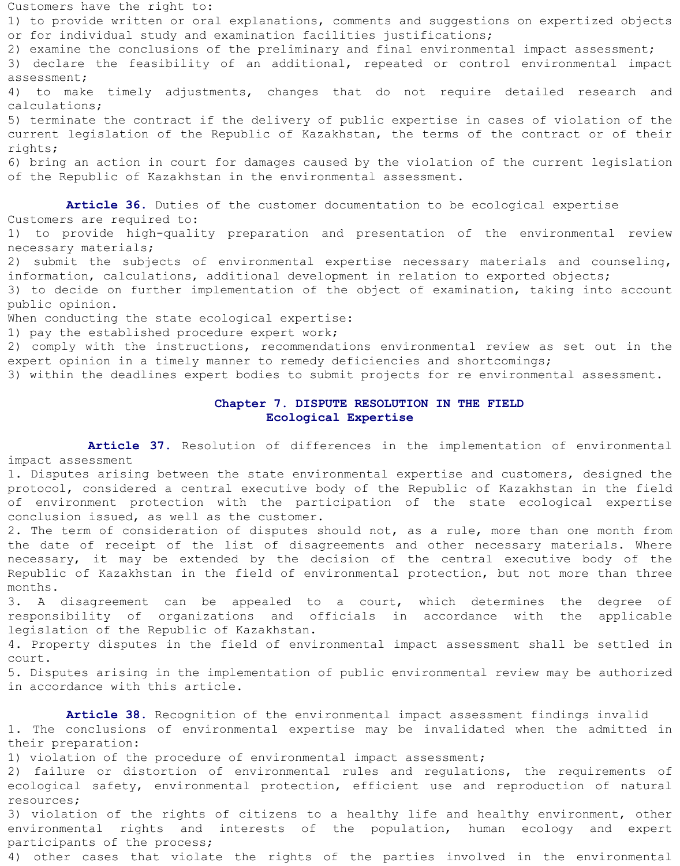Customers have the right to: 1) to provide written or oral explanations, comments and suggestions on expertized objects or for individual study and examination facilities justifications; 2) examine the conclusions of the preliminary and final environmental impact assessment; 3) declare the feasibility of an additional, repeated or control environmental impact assessment; 4) to make timely adjustments, changes that do not require detailed research and calculations; 5) terminate the contract if the delivery of public expertise in cases of violation of the current legislation of the Republic of Kazakhstan, the terms of the contract or of their rights; 6) bring an action in court for damages caused by the violation of the current legislation of the Republic of Kazakhstan in the environmental assessment.

 **Article 36.** Duties of the customer documentation to be ecological expertise Customers are required to:

1) to provide high-quality preparation and presentation of the environmental review necessary materials;

2) submit the subjects of environmental expertise necessary materials and counseling, information, calculations, additional development in relation to exported objects;

3) to decide on further implementation of the object of examination, taking into account public opinion.

When conducting the state ecological expertise:

1) pay the established procedure expert work;

2) comply with the instructions, recommendations environmental review as set out in the expert opinion in a timely manner to remedy deficiencies and shortcomings;

3) within the deadlines expert bodies to submit projects for re environmental assessment.

## **Chapter 7. DISPUTE RESOLUTION IN THE FIELD Ecological Expertise**

 **Article 37.** Resolution of differences in the implementation of environmental impact assessment

1. Disputes arising between the state environmental expertise and customers, designed the protocol, considered a central executive body of the Republic of Kazakhstan in the field of environment protection with the participation of the state ecological expertise conclusion issued, as well as the customer.

2. The term of consideration of disputes should not, as a rule, more than one month from the date of receipt of the list of disagreements and other necessary materials. Where necessary, it may be extended by the decision of the central executive body of the Republic of Kazakhstan in the field of environmental protection, but not more than three months.

3. A disagreement can be appealed to a court, which determines the degree of responsibility of organizations and officials in accordance with the applicable legislation of the Republic of Kazakhstan.

4. Property disputes in the field of environmental impact assessment shall be settled in court.

5. Disputes arising in the implementation of public environmental review may be authorized in accordance with this article.

 **Article 38.** Recognition of the environmental impact assessment findings invalid 1. The conclusions of environmental expertise may be invalidated when the admitted in their preparation:

1) violation of the procedure of environmental impact assessment;

2) failure or distortion of environmental rules and regulations, the requirements of ecological safety, environmental protection, efficient use and reproduction of natural resources;

3) violation of the rights of citizens to a healthy life and healthy environment, other environmental rights and interests of the population, human ecology and expert participants of the process;

4) other cases that violate the rights of the parties involved in the environmental